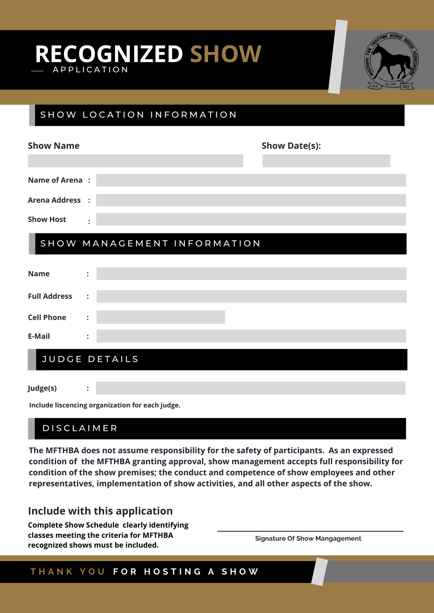## **RE C O G N IZED SHOW** A P P L I C A T I O N



### SHOW LOCATION INFORMATION

| <b>Show Name</b>       |                             | <b>Show Date(s):</b> |
|------------------------|-----------------------------|----------------------|
|                        |                             |                      |
| <b>Name of Arena:</b>  |                             |                      |
| <b>Arena Address :</b> |                             |                      |
| <b>Show Host</b>       | $\ddot{\cdot}$              |                      |
|                        | SHOW MANAGEMENT INFORMATION |                      |
| <b>Name</b>            | $\ddot{\cdot}$              |                      |
| <b>Full Address</b>    | $\ddot{\cdot}$              |                      |
| <b>Cell Phone</b>      | $\ddot{\cdot}$              |                      |
| E-Mail                 | $\ddot{\cdot}$              |                      |
| <b>JUDGE DETAILS</b>   |                             |                      |

**Judge(s)**

**Include liscencing organization for each judge.**

### **DISCLAIMER**

**:**

**The MFTHBA does not assume responsibility for the safety of participants. As an expressed condition of the MFTHBA granting approval, show management accepts full responsibility for condition of the show premises; the conduct and competence of show employees and other representatives, implementation of show activities, and all other aspects of the show.**

### **Include with this application**

**Complete Show Schedule clearly identifying classes meeting the criteria for MFTHBA recognized shows must be included.**

**Signature Of Show Mangagement**

#### **T H A N K Y O U F O R H O S T I N G A S H O W**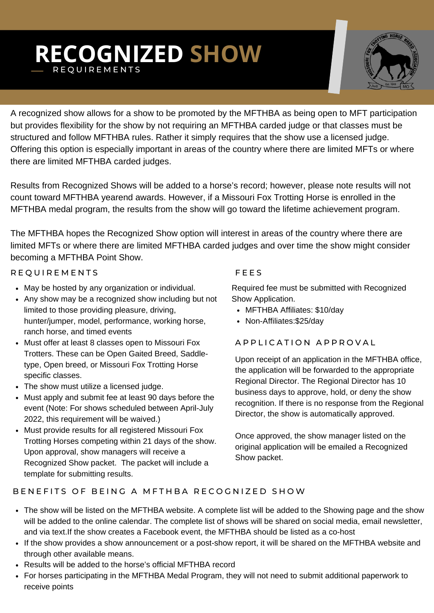# **RECOGNIZED SHOW** R E Q U I R E M E N T S



A recognized show allows for a show to be promoted by the MFTHBA as being open to MFT participation but provides flexibility for the show by not requiring an MFTHBA carded judge or that classes must be structured and follow MFTHBA rules. Rather it simply requires that the show use a licensed judge. Offering this option is especially important in areas of the country where there are limited MFTs or where there are limited MFTHBA carded judges.

Results from Recognized Shows will be added to a horse's record; however, please note results will not count toward MFTHBA yearend awards. However, if a Missouri Fox Trotting Horse is enrolled in the MFTHBA medal program, the results from the show will go toward the lifetime achievement program.

The MFTHBA hopes the Recognized Show option will interest in areas of the country where there are limited MFTs or where there are limited MFTHBA carded judges and over time the show might consider becoming a MFTHBA Point Show.

#### R E QUIREMENTS

- May be hosted by any organization or individual.
- Any show may be a recognized show including but not limited to those providing pleasure, driving, hunter/jumper, model, performance, working horse, ranch horse, and timed events
- Must offer at least 8 classes open to Missouri Fox Trotters. These can be Open Gaited Breed, Saddletype, Open breed, or Missouri Fox Trotting Horse specific classes.
- The show must utilize a licensed judge.
- Must apply and submit fee at least 90 days before the event (Note: For shows scheduled between April-July 2022, this requirement will be waived.)
- Must provide results for all registered Missouri Fox Trotting Horses competing within 21 days of the show. Upon approval, show managers will receive a Recognized Show packet. The packet will include a template for submitting results.

#### **FEES**

Required fee must be submitted with Recognized Show Application.

- MFTHBA Affiliates: \$10/day
- Non-Affiliates: \$25/day

#### A P P L I C A T I O N A P P R O V A L

Upon receipt of an application in the MFTHBA office, the application will be forwarded to the appropriate Regional Director. The Regional Director has 10 business days to approve, hold, or deny the show recognition. If there is no response from the Regional Director, the show is automatically approved.

Once approved, the show manager listed on the original application will be emailed a Recognized Show packet.

#### BENEFITS OF BEING A MFTHBA RECOGNIZED SHOW

- The show will be listed on the MFTHBA website. A complete list will be added to the Showing page and the show will be added to the online calendar. The complete list of shows will be shared on social media, email newsletter, and via text.If the show creates a Facebook event, the MFTHBA should be listed as a co-host
- If the show provides a show announcement or a post-show report, it will be shared on the MFTHBA website and through other available means.
- Results will be added to the horse's official MFTHBA record
- For horses participating in the MFTHBA Medal Program, they will not need to submit additional paperwork to receive points